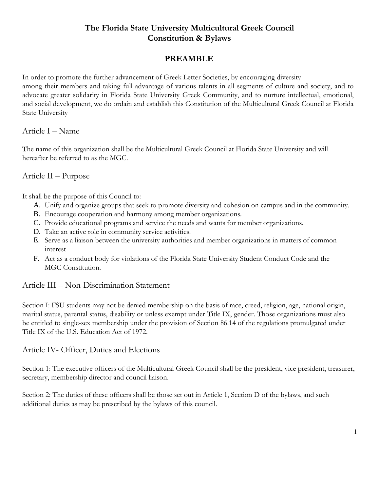# **The Florida State University Multicultural Greek Council Constitution & Bylaws**

# **PREAMBLE**

In order to promote the further advancement of Greek Letter Societies, by encouraging diversity among their members and taking full advantage of various talents in all segments of culture and society, and to advocate greater solidarity in Florida State University Greek Community, and to nurture intellectual, emotional, and social development, we do ordain and establish this Constitution of the Multicultural Greek Council at Florida State University

## Article I – Name

The name of this organization shall be the Multicultural Greek Council at Florida State University and will hereafter be referred to as the MGC.

## Article II – Purpose

It shall be the purpose of this Council to:

- A. Unify and organize groups that seek to promote diversity and cohesion on campus and in the community.
- B. Encourage cooperation and harmony among member organizations.
- C. Provide educational programs and service the needs and wants for member organizations.
- D. Take an active role in community service activities.
- E. Serve as a liaison between the university authorities and member organizations in matters of common interest
- F. Act as a conduct body for violations of the Florida State University Student Conduct Code and the MGC Constitution.

## Article III – Non-Discrimination Statement

Section I: FSU students may not be denied membership on the basis of race, creed, religion, age, national origin, marital status, parental status, disability or unless exempt under Title IX, gender. Those organizations must also be entitled to single-sex membership under the provision of Section 86.14 of the regulations promulgated under Title IX of the U.S. Education Act of 1972.

## Article IV- Officer, Duties and Elections

Section 1: The executive officers of the Multicultural Greek Council shall be the president, vice president, treasurer, secretary, membership director and council liaison.

Section 2: The duties of these officers shall be those set out in Article 1, Section D of the bylaws, and such additional duties as may be prescribed by the bylaws of this council.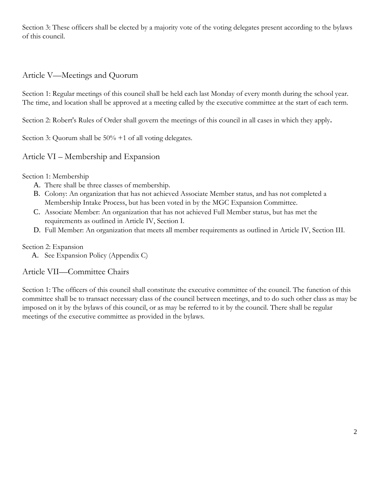Section 3: These officers shall be elected by a majority vote of the voting delegates present according to the bylaws of this council.

# Article V—Meetings and Quorum

Section 1: Regular meetings of this council shall be held each last Monday of every month during the school year. The time, and location shall be approved at a meeting called by the executive committee at the start of each term.

Section 2: Robert's Rules of Order shall govern the meetings of this council in all cases in which they apply**.** 

Section 3: Quorum shall be  $50\% + 1$  of all voting delegates.

## Article VI – Membership and Expansion

Section 1: Membership

- A. There shall be three classes of membership.
- B. Colony: An organization that has not achieved Associate Member status, and has not completed a Membership Intake Process, but has been voted in by the MGC Expansion Committee.
- C. Associate Member: An organization that has not achieved Full Member status, but has met the requirements as outlined in Article IV, Section I.
- D. Full Member: An organization that meets all member requirements as outlined in Article IV, Section III.

### Section 2: Expansion

A. See Expansion Policy (Appendix C)

## Article VII—Committee Chairs

Section 1: The officers of this council shall constitute the executive committee of the council. The function of this committee shall be to transact necessary class of the council between meetings, and to do such other class as may be imposed on it by the bylaws of this council, or as may be referred to it by the council. There shall be regular meetings of the executive committee as provided in the bylaws.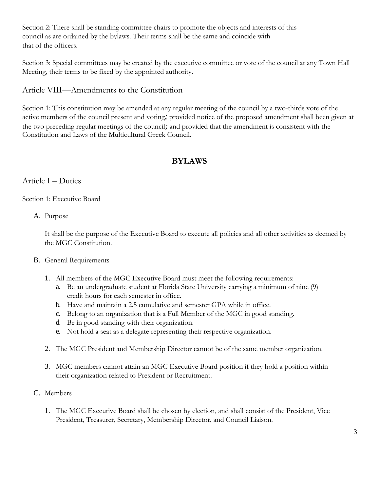Section 2: There shall be standing committee chairs to promote the objects and interests of this council as are ordained by the bylaws. Their terms shall be the same and coincide with that of the officers.

Section 3: Special committees may be created by the executive committee or vote of the council at any Town Hall Meeting, their terms to be fixed by the appointed authority.

## Article VIII—Amendments to the Constitution

Section 1: This constitution may be amended at any regular meeting of the council by a two-thirds vote of the active members of the council present and voting*;* provided notice of the proposed amendment shall been given at the two preceding regular meetings of the council*;* and provided that the amendment is consistent with the Constitution and Laws of the Multicultural Greek Council.

# **BYLAWS**

## Article I – Duties

Section 1: Executive Board

### A. Purpose

It shall be the purpose of the Executive Board to execute all policies and all other activities as deemed by the MGC Constitution.

### B. General Requirements

- 1. All members of the MGC Executive Board must meet the following requirements:
	- a. Be an undergraduate student at Florida State University carrying a minimum of nine (9) credit hours for each semester in office.
	- b. Have and maintain a 2.5 cumulative and semester GPA while in office.
	- c. Belong to an organization that is a Full Member of the MGC in good standing.
	- d. Be in good standing with their organization.
	- e. Not hold a seat as a delegate representing their respective organization.
- 2. The MGC President and Membership Director cannot be of the same member organization.
- 3. MGC members cannot attain an MGC Executive Board position if they hold a position within their organization related to President or Recruitment.
- C. Members
	- 1. The MGC Executive Board shall be chosen by election, and shall consist of the President, Vice President, Treasurer, Secretary, Membership Director, and Council Liaison.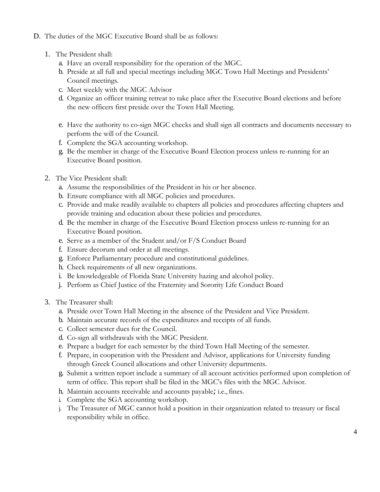- D. The duties of the MGC Executive Board shall be as follows:
	- 1. The President shall:
		- a. Have an overall responsibility for the operation of the MGC.
		- b. Preside at all full and special meetings including MGC Town Hall Meetings and Presidents' Council meetings.
		- c. Meet weekly with the MGC Advisor
		- d. Organize an officer training retreat to take place after the Executive Board elections and before the new officers first preside over the Town Hall Meeting.
		- e. Have the authority to co-sign MGC checks and shall sign all contracts and documents necessary to perform the will of the Council.
		- f. Complete the SGA accounting workshop.
		- g. Be the member in charge of the Executive Board Election process unless re-running for an Executive Board position.
	- 2. The Vice President shall:
		- a. Assume the responsibilities of the President in his or her absence.
		- b. Ensure compliance with all MGC policies and procedures.
		- c. Provide and make readily available to chapters all policies and procedures affecting chapters and provide training and education about these policies and procedures.
		- d. Be the member in charge of the Executive Board Election process unless re-running for an Executive Board position.
		- e. Serve as a member of the Student and/or F/S Conduct Board
		- f. Ensure decorum and order at all meetings.
		- g. Enforce Parliamentary procedure and constitutional guidelines.
		- h. Check requirements of all new organizations.
		- i. Be knowledgeable of Florida State University hazing and alcohol policy.
		- j. Perform as Chief Justice of the Fraternity and Sorority Life Conduct Board
	- 3. The Treasurer shall:
		- a. Preside over Town Hall Meeting in the absence of the President and Vice President.
		- b. Maintain accurate records of the expenditures and receipts of all funds.
		- c. Collect semester dues for the Council.
		- d. Co-sign all withdrawals with the MGC President.
		- e. Prepare a budget for each semester by the third Town Hall Meeting of the semester.
		- f. Prepare, in cooperation with the President and Advisor, applications for University funding through Greek Council allocations and other University departments.
		- g. Submit a written report include a summary of all account activities performed upon completion of term of office. This report shall be filed in the MGC's files with the MGC Advisor.
		- h. Maintain accounts receivable and accounts payable*;* i.e., fines.
		- i. Complete the SGA accounting workshop.
		- j. The Treasurer of MGC cannot hold a position in their organization related to treasury or fiscal responsibility while in office.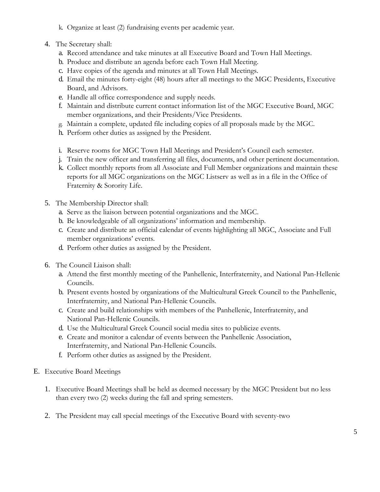- k. Organize at least (2) fundraising events per academic year.
- 4. The Secretary shall:
	- a. Record attendance and take minutes at all Executive Board and Town Hall Meetings.
	- b. Produce and distribute an agenda before each Town Hall Meeting.
	- c. Have copies of the agenda and minutes at all Town Hall Meetings.
	- d. Email the minutes forty-eight (48) hours after all meetings to the MGC Presidents, Executive Board, and Advisors.
	- e. Handle all office correspondence and supply needs.
	- f. Maintain and distribute current contact information list of the MGC Executive Board, MGC member organizations, and their Presidents/Vice Presidents.
	- g. Maintain a complete, updated file including copies of all proposals made by the MGC.
	- h. Perform other duties as assigned by the President.
	- i. Reserve rooms for MGC Town Hall Meetings and President's Council each semester.
	- j. Train the new officer and transferring all files, documents, and other pertinent documentation.
	- k. Collect monthly reports from all Associate and Full Member organizations and maintain these reports for all MGC organizations on the MGC Listserv as well as in a file in the Office of Fraternity & Sorority Life.
- 5. The Membership Director shall:
	- a. Serve as the liaison between potential organizations and the MGC.
	- b. Be knowledgeable of all organizations' information and membership.
	- c. Create and distribute an official calendar of events highlighting all MGC, Associate and Full member organizations' events.
	- d. Perform other duties as assigned by the President.
- 6. The Council Liaison shall:
	- a. Attend the first monthly meeting of the Panhellenic, Interfraternity, and National Pan-Hellenic Councils.
	- b. Present events hosted by organizations of the Multicultural Greek Council to the Panhellenic, Interfraternity, and National Pan-Hellenic Councils.
	- c. Create and build relationships with members of the Panhellenic, Interfraternity, and National Pan-Hellenic Councils.
	- d. Use the Multicultural Greek Council social media sites to publicize events.
	- e. Create and monitor a calendar of events between the Panhellenic Association, Interfraternity, and National Pan-Hellenic Councils.
	- f. Perform other duties as assigned by the President.
- E. Executive Board Meetings
	- 1. Executive Board Meetings shall be held as deemed necessary by the MGC President but no less than every two (2) weeks during the fall and spring semesters.
	- 2. The President may call special meetings of the Executive Board with seventy-two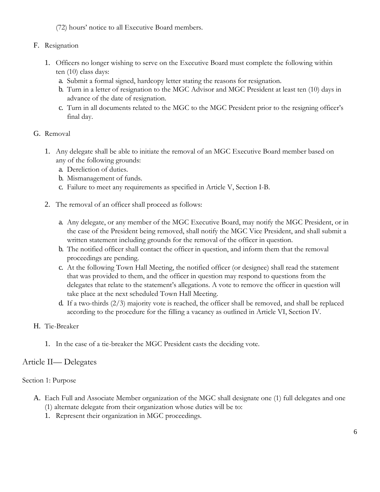(72) hours' notice to all Executive Board members.

### F. Resignation

- 1. Officers no longer wishing to serve on the Executive Board must complete the following within ten (10) class days:
	- a. Submit a formal signed, hardcopy letter stating the reasons for resignation.
	- b. Turn in a letter of resignation to the MGC Advisor and MGC President at least ten (10) days in advance of the date of resignation.
	- c. Turn in all documents related to the MGC to the MGC President prior to the resigning officer's final day.

### G. Removal

- 1. Any delegate shall be able to initiate the removal of an MGC Executive Board member based on any of the following grounds:
	- a. Dereliction of duties.
	- b. Mismanagement of funds.
	- c. Failure to meet any requirements as specified in Article V, Section I-B.
- 2. The removal of an officer shall proceed as follows:
	- a. Any delegate, or any member of the MGC Executive Board, may notify the MGC President, or in the case of the President being removed, shall notify the MGC Vice President, and shall submit a written statement including grounds for the removal of the officer in question.
	- b. The notified officer shall contact the officer in question, and inform them that the removal proceedings are pending.
	- c. At the following Town Hall Meeting, the notified officer (or designee) shall read the statement that was provided to them, and the officer in question may respond to questions from the delegates that relate to the statement's allegations. A vote to remove the officer in question will take place at the next scheduled Town Hall Meeting.
	- d. If a two-thirds (2/3) majority vote is reached, the officer shall be removed, and shall be replaced according to the procedure for the filling a vacancy as outlined in Article VI, Section IV.

## H. Tie-Breaker

1. In the case of a tie-breaker the MGC President casts the deciding vote.

## Article II— Delegates

### Section 1: Purpose

- A. Each Full and Associate Member organization of the MGC shall designate one (1) full delegates and one (1) alternate delegate from their organization whose duties will be to:
	- 1. Represent their organization in MGC proceedings.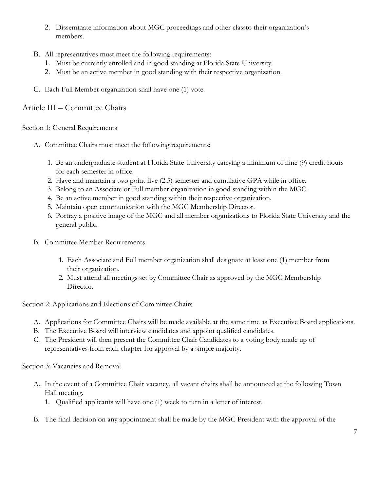- 2. Disseminate information about MGC proceedings and other classto their organization's members.
- B. All representatives must meet the following requirements:
	- 1. Must be currently enrolled and in good standing at Florida State University.
	- 2. Must be an active member in good standing with their respective organization.
- C. Each Full Member organization shall have one (1) vote.

## Article III – Committee Chairs

Section 1: General Requirements

- A. Committee Chairs must meet the following requirements:
	- 1. Be an undergraduate student at Florida State University carrying a minimum of nine (9) credit hours for each semester in office.
	- 2. Have and maintain a two point five (2.5) semester and cumulative GPA while in office.
	- 3. Belong to an Associate or Full member organization in good standing within the MGC.
	- 4. Be an active member in good standing within their respective organization.
	- 5. Maintain open communication with the MGC Membership Director.
	- 6. Portray a positive image of the MGC and all member organizations to Florida State University and the general public.
- B. Committee Member Requirements
	- 1. Each Associate and Full member organization shall designate at least one (1) member from their organization.
	- 2. Must attend all meetings set by Committee Chair as approved by the MGC Membership Director.

Section 2: Applications and Elections of Committee Chairs

- A. Applications for Committee Chairs will be made available at the same time as Executive Board applications.
- B. The Executive Board will interview candidates and appoint qualified candidates.
- C. The President will then present the Committee Chair Candidates to a voting body made up of representatives from each chapter for approval by a simple majority.

Section 3: Vacancies and Removal

- A. In the event of a Committee Chair vacancy, all vacant chairs shall be announced at the following Town Hall meeting.
	- 1. Qualified applicants will have one (1) week to turn in a letter of interest.
- B. The final decision on any appointment shall be made by the MGC President with the approval of the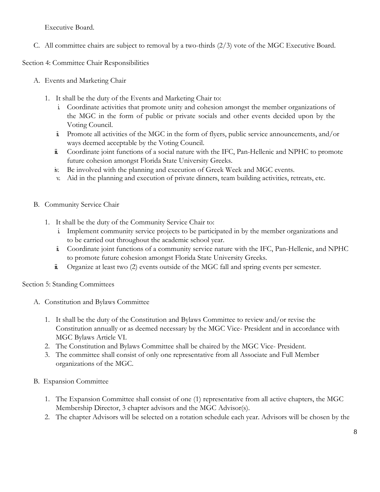Executive Board.

C. All committee chairs are subject to removal by a two-thirds (2/3) vote of the MGC Executive Board.

Section 4: Committee Chair Responsibilities

- A. Events and Marketing Chair
	- 1. It shall be the duty of the Events and Marketing Chair to:
		- i. Coordinate activities that promote unity and cohesion amongst the member organizations of the MGC in the form of public or private socials and other events decided upon by the Voting Council.
		- ii. Promote all activities of the MGC in the form of flyers, public service announcements, and/or ways deemed acceptable by the Voting Council.
		- iii. Coordinate joint functions of a social nature with the IFC, Pan-Hellenic and NPHC to promote future cohesion amongst Florida State University Greeks.
		- iv. Be involved with the planning and execution of Greek Week and MGC events.
		- v. Aid in the planning and execution of private dinners, team building activities, retreats, etc.
- B. Community Service Chair
	- 1. It shall be the duty of the Community Service Chair to:
		- i. Implement community service projects to be participated in by the member organizations and to be carried out throughout the academic school year.
		- ii. Coordinate joint functions of a community service nature with the IFC, Pan-Hellenic, and NPHC to promote future cohesion amongst Florida State University Greeks.
		- iii. Organize at least two (2) events outside of the MGC fall and spring events per semester.

Section 5: Standing Committees

- A. Constitution and Bylaws Committee
	- 1. It shall be the duty of the Constitution and Bylaws Committee to review and/or revise the Constitution annually or as deemed necessary by the MGC Vice- President and in accordance with MGC Bylaws Article VI.
	- 2. The Constitution and Bylaws Committee shall be chaired by the MGC Vice- President.
	- 3. The committee shall consist of only one representative from all Associate and Full Member organizations of the MGC.
- B. Expansion Committee
	- 1. The Expansion Committee shall consist of one (1) representative from all active chapters, the MGC Membership Director, 3 chapter advisors and the MGC Advisor(s).
	- 2. The chapter Advisors will be selected on a rotation schedule each year. Advisors will be chosen by the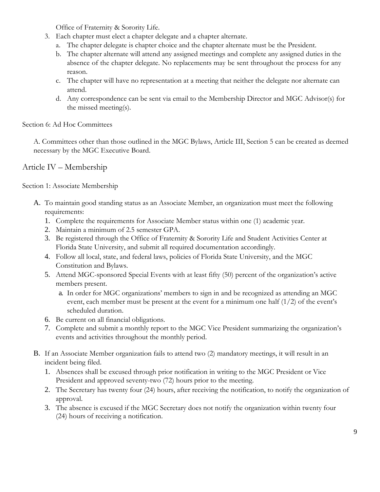Office of Fraternity & Sorority Life.

- 3. Each chapter must elect a chapter delegate and a chapter alternate.
	- a. The chapter delegate is chapter choice and the chapter alternate must be the President.
	- b. The chapter alternate will attend any assigned meetings and complete any assigned duties in the absence of the chapter delegate. No replacements may be sent throughout the process for any reason.
	- c. The chapter will have no representation at a meeting that neither the delegate nor alternate can attend.
	- d. Any correspondence can be sent via email to the Membership Director and MGC Advisor(s) for the missed meeting(s).

Section 6: Ad Hoc Committees

A. Committees other than those outlined in the MGC Bylaws, Article III, Section 5 can be created as deemed necessary by the MGC Executive Board.

Article IV – Membership

Section 1: Associate Membership

- A. To maintain good standing status as an Associate Member, an organization must meet the following requirements:
	- 1. Complete the requirements for Associate Member status within one (1) academic year.
	- 2. Maintain a minimum of 2.5 semester GPA.
	- 3. Be registered through the Office of Fraternity & Sorority Life and Student Activities Center at Florida State University, and submit all required documentation accordingly.
	- 4. Follow all local, state, and federal laws, policies of Florida State University, and the MGC Constitution and Bylaws.
	- 5. Attend MGC-sponsored Special Events with at least fifty (50) percent of the organization's active members present.
		- a. In order for MGC organizations' members to sign in and be recognized as attending an MGC event, each member must be present at the event for a minimum one half (1/2) of the event's scheduled duration.
	- 6. Be current on all financial obligations.
	- 7. Complete and submit a monthly report to the MGC Vice President summarizing the organization's events and activities throughout the monthly period.
- B. If an Associate Member organization fails to attend two (2) mandatory meetings, it will result in an incident being filed.
	- 1. Absences shall be excused through prior notification in writing to the MGC President or Vice President and approved seventy-two (72) hours prior to the meeting.
	- 2. The Secretary has twenty four (24) hours, after receiving the notification, to notify the organization of approval.
	- 3. The absence is excused if the MGC Secretary does not notify the organization within twenty four (24) hours of receiving a notification.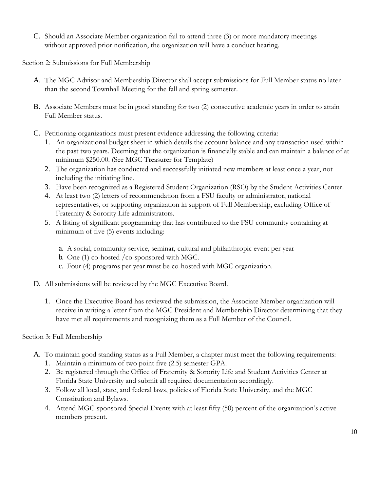C. Should an Associate Member organization fail to attend three (3) or more mandatory meetings without approved prior notification, the organization will have a conduct hearing.

Section 2: Submissions for Full Membership

- A. The MGC Advisor and Membership Director shall accept submissions for Full Member status no later than the second Townhall Meeting for the fall and spring semester.
- B. Associate Members must be in good standing for two (2) consecutive academic years in order to attain Full Member status.
- C. Petitioning organizations must present evidence addressing the following criteria:
	- 1. An organizational budget sheet in which details the account balance and any transaction used within the past two years. Deeming that the organization is financially stable and can maintain a balance of at minimum \$250.00. (See MGC Treasurer for Template)
	- 2. The organization has conducted and successfully initiated new members at least once a year, not including the initiating line.
	- 3. Have been recognized as a Registered Student Organization (RSO) by the Student Activities Center.
	- 4. At least two (2) letters of recommendation from a FSU faculty or administrator, national representatives, or supporting organization in support of Full Membership, excluding Office of Fraternity & Sorority Life administrators.
	- 5. A listing of significant programming that has contributed to the FSU community containing at minimum of five (5) events including:
		- a. A social, community service, seminar, cultural and philanthropic event per year
		- b. One (1) co-hosted /co-sponsored with MGC.
		- c. Four (4) programs per year must be co-hosted with MGC organization.
- D. All submissions will be reviewed by the MGC Executive Board.
	- 1. Once the Executive Board has reviewed the submission, the Associate Member organization will receive in writing a letter from the MGC President and Membership Director determining that they have met all requirements and recognizing them as a Full Member of the Council.

Section 3: Full Membership

- A. To maintain good standing status as a Full Member, a chapter must meet the following requirements:
	- 1. Maintain a minimum of two point five (2.5) semester GPA.
	- 2. Be registered through the Office of Fraternity & Sorority Life and Student Activities Center at Florida State University and submit all required documentation accordingly.
	- 3. Follow all local, state, and federal laws, policies of Florida State University, and the MGC Constitution and Bylaws.
	- 4. Attend MGC-sponsored Special Events with at least fifty (50) percent of the organization's active members present.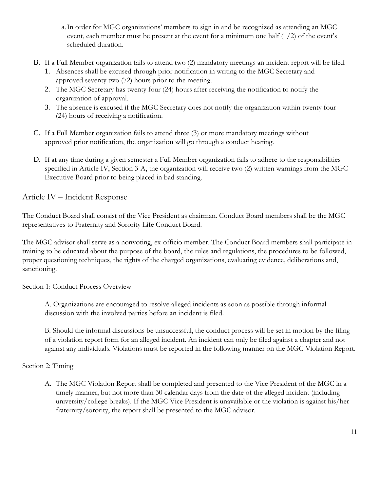- a.In order for MGC organizations' members to sign in and be recognized as attending an MGC event, each member must be present at the event for a minimum one half  $(1/2)$  of the event's scheduled duration.
- B. If a Full Member organization fails to attend two (2) mandatory meetings an incident report will be filed.
	- 1. Absences shall be excused through prior notification in writing to the MGC Secretary and approved seventy two (72) hours prior to the meeting.
	- 2. The MGC Secretary has twenty four (24) hours after receiving the notification to notify the organization of approval.
	- 3. The absence is excused if the MGC Secretary does not notify the organization within twenty four (24) hours of receiving a notification.
- C. If a Full Member organization fails to attend three (3) or more mandatory meetings without approved prior notification, the organization will go through a conduct hearing.
- D. If at any time during a given semester a Full Member organization fails to adhere to the responsibilities specified in Article IV, Section 3-A, the organization will receive two (2) written warnings from the MGC Executive Board prior to being placed in bad standing.

# Article IV – Incident Response

The Conduct Board shall consist of the Vice President as chairman. Conduct Board members shall be the MGC representatives to Fraternity and Sorority Life Conduct Board.

The MGC advisor shall serve as a nonvoting, ex-officio member. The Conduct Board members shall participate in training to be educated about the purpose of the board, the rules and regulations, the procedures to be followed, proper questioning techniques, the rights of the charged organizations, evaluating evidence, deliberations and, sanctioning.

Section 1: Conduct Process Overview

A. Organizations are encouraged to resolve alleged incidents as soon as possible through informal discussion with the involved parties before an incident is filed.

B. Should the informal discussions be unsuccessful, the conduct process will be set in motion by the filing of a violation report form for an alleged incident. An incident can only be filed against a chapter and not against any individuals. Violations must be reported in the following manner on the MGC Violation Report.

Section 2: Timing

A. The MGC Violation Report shall be completed and presented to the Vice President of the MGC in a timely manner, but not more than 30 calendar days from the date of the alleged incident (including university/college breaks). If the MGC Vice President is unavailable or the violation is against his/her fraternity/sorority, the report shall be presented to the MGC advisor.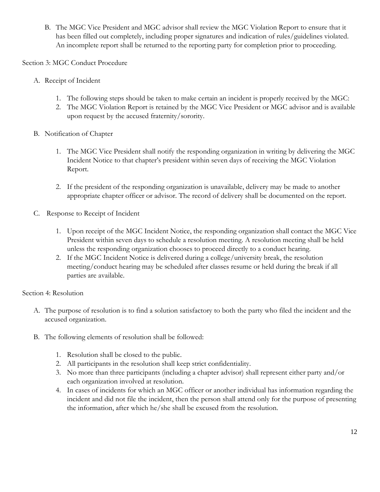B. The MGC Vice President and MGC advisor shall review the MGC Violation Report to ensure that it has been filled out completely, including proper signatures and indication of rules/guidelines violated. An incomplete report shall be returned to the reporting party for completion prior to proceeding.

Section 3: MGC Conduct Procedure

- A. Receipt of Incident
	- 1. The following steps should be taken to make certain an incident is properly received by the MGC:
	- 2. The MGC Violation Report is retained by the MGC Vice President or MGC advisor and is available upon request by the accused fraternity/sorority.
- B. Notification of Chapter
	- 1. The MGC Vice President shall notify the responding organization in writing by delivering the MGC Incident Notice to that chapter's president within seven days of receiving the MGC Violation Report.
	- 2. If the president of the responding organization is unavailable, delivery may be made to another appropriate chapter officer or advisor. The record of delivery shall be documented on the report.
- C. Response to Receipt of Incident
	- 1. Upon receipt of the MGC Incident Notice, the responding organization shall contact the MGC Vice President within seven days to schedule a resolution meeting. A resolution meeting shall be held unless the responding organization chooses to proceed directly to a conduct hearing.
	- 2. If the MGC Incident Notice is delivered during a college/university break, the resolution meeting/conduct hearing may be scheduled after classes resume or held during the break if all parties are available.

#### Section 4: Resolution

- A. The purpose of resolution is to find a solution satisfactory to both the party who filed the incident and the accused organization.
- B. The following elements of resolution shall be followed:
	- 1. Resolution shall be closed to the public.
	- 2. All participants in the resolution shall keep strict confidentiality.
	- 3. No more than three participants (including a chapter advisor) shall represent either party and/or each organization involved at resolution.
	- 4. In cases of incidents for which an MGC officer or another individual has information regarding the incident and did not file the incident, then the person shall attend only for the purpose of presenting the information, after which he/she shall be excused from the resolution.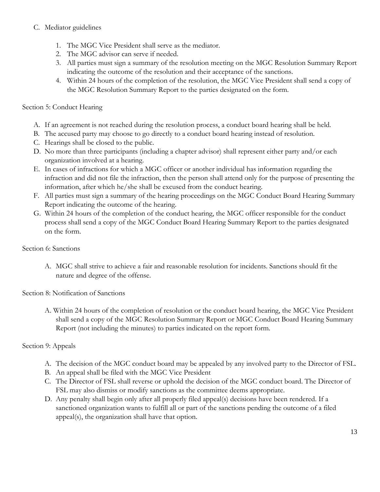### C. Mediator guidelines

- 1. The MGC Vice President shall serve as the mediator.
- 2. The MGC advisor can serve if needed.
- 3. All parties must sign a summary of the resolution meeting on the MGC Resolution Summary Report indicating the outcome of the resolution and their acceptance of the sanctions.
- 4. Within 24 hours of the completion of the resolution, the MGC Vice President shall send a copy of the MGC Resolution Summary Report to the parties designated on the form.

### Section 5: Conduct Hearing

- A. If an agreement is not reached during the resolution process, a conduct board hearing shall be held.
- B. The accused party may choose to go directly to a conduct board hearing instead of resolution.
- C. Hearings shall be closed to the public.
- D. No more than three participants (including a chapter advisor) shall represent either party and/or each organization involved at a hearing.
- E. In cases of infractions for which a MGC officer or another individual has information regarding the infraction and did not file the infraction, then the person shall attend only for the purpose of presenting the information, after which he/she shall be excused from the conduct hearing.
- F. All parties must sign a summary of the hearing proceedings on the MGC Conduct Board Hearing Summary Report indicating the outcome of the hearing.
- G. Within 24 hours of the completion of the conduct hearing, the MGC officer responsible for the conduct process shall send a copy of the MGC Conduct Board Hearing Summary Report to the parties designated on the form.

#### Section 6: Sanctions

A. MGC shall strive to achieve a fair and reasonable resolution for incidents. Sanctions should fit the nature and degree of the offense.

Section 8: Notification of Sanctions

A. Within 24 hours of the completion of resolution or the conduct board hearing, the MGC Vice President shall send a copy of the MGC Resolution Summary Report or MGC Conduct Board Hearing Summary Report (not including the minutes) to parties indicated on the report form.

### Section 9: Appeals

- A. The decision of the MGC conduct board may be appealed by any involved party to the Director of FSL.
- B. An appeal shall be filed with the MGC Vice President
- C. The Director of FSL shall reverse or uphold the decision of the MGC conduct board. The Director of FSL may also dismiss or modify sanctions as the committee deems appropriate.
- D. Any penalty shall begin only after all properly filed appeal(s) decisions have been rendered. If a sanctioned organization wants to fulfill all or part of the sanctions pending the outcome of a filed appeal(s), the organization shall have that option.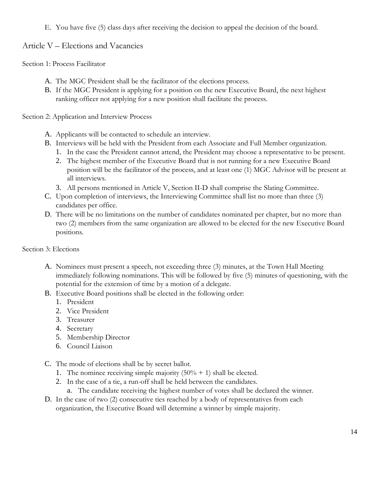E. You have five (5) class days after receiving the decision to appeal the decision of the board.

## Article V – Elections and Vacancies

Section 1: Process Facilitator

- A. The MGC President shall be the facilitator of the elections process.
- B. If the MGC President is applying for a position on the new Executive Board, the next highest ranking officer not applying for a new position shall facilitate the process.

Section 2: Application and Interview Process

- A. Applicants will be contacted to schedule an interview.
- B. Interviews will be held with the President from each Associate and Full Member organization.
	- 1. In the case the President cannot attend, the President may choose a representative to be present.
	- 2. The highest member of the Executive Board that is not running for a new Executive Board position will be the facilitator of the process, and at least one (1) MGC Advisor will be present at all interviews.
	- 3. All persons mentioned in Article V, Section II-D shall comprise the Slating Committee.
- C. Upon completion of interviews, the Interviewing Committee shall list no more than three (3) candidates per office.
- D. There will be no limitations on the number of candidates nominated per chapter, but no more than two (2) members from the same organization are allowed to be elected for the new Executive Board positions.

Section 3: Elections

- A. Nominees must present a speech, not exceeding three (3) minutes, at the Town Hall Meeting immediately following nominations. This will be followed by five (5) minutes of questioning, with the potential for the extension of time by a motion of a delegate.
- B. Executive Board positions shall be elected in the following order:
	- 1. President
	- 2. Vice President
	- 3. Treasurer
	- 4. Secretary
	- 5. Membership Director
	- 6. Council Liaison
- C. The mode of elections shall be by secret ballot.
	- 1. The nominee receiving simple majority  $(50\% + 1)$  shall be elected.
	- 2. In the case of a tie, a run-off shall be held between the candidates.
		- a. The candidate receiving the highest number of votes shall be declared the winner.
- D. In the case of two (2) consecutive ties reached by a body of representatives from each organization, the Executive Board will determine a winner by simple majority.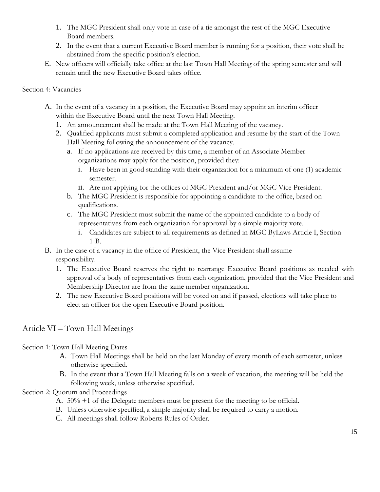- 1. The MGC President shall only vote in case of a tie amongst the rest of the MGC Executive Board members.
- 2. In the event that a current Executive Board member is running for a position, their vote shall be abstained from the specific position's election.
- E. New officers will officially take office at the last Town Hall Meeting of the spring semester and will remain until the new Executive Board takes office.

#### Section 4: Vacancies

- A. In the event of a vacancy in a position, the Executive Board may appoint an interim officer within the Executive Board until the next Town Hall Meeting.
	- 1. An announcement shall be made at the Town Hall Meeting of the vacancy.
	- 2. Qualified applicants must submit a completed application and resume by the start of the Town Hall Meeting following the announcement of the vacancy.
		- a. If no applications are received by this time, a member of an Associate Member organizations may apply for the position, provided they:
			- i. Have been in good standing with their organization for a minimum of one (1) academic semester.
			- ii. Are not applying for the offices of MGC President and/or MGC Vice President.
		- b. The MGC President is responsible for appointing a candidate to the office, based on qualifications.
		- c. The MGC President must submit the name of the appointed candidate to a body of representatives from each organization for approval by a simple majority vote.
			- i. Candidates are subject to all requirements as defined in MGC ByLaws Article I, Section 1-B.
- B. In the case of a vacancy in the office of President, the Vice President shall assume responsibility.
	- 1. The Executive Board reserves the right to rearrange Executive Board positions as needed with approval of a body of representatives from each organization, provided that the Vice President and Membership Director are from the same member organization.
	- 2. The new Executive Board positions will be voted on and if passed, elections will take place to elect an officer for the open Executive Board position.

# Article VI – Town Hall Meetings

## Section 1: Town Hall Meeting Dates

- A. Town Hall Meetings shall be held on the last Monday of every month of each semester, unless otherwise specified.
- B. In the event that a Town Hall Meeting falls on a week of vacation, the meeting will be held the following week, unless otherwise specified.

## Section 2: Quorum and Proceedings

- A. 50% +1 of the Delegate members must be present for the meeting to be official.
- B. Unless otherwise specified, a simple majority shall be required to carry a motion.
- C. All meetings shall follow Roberts Rules of Order.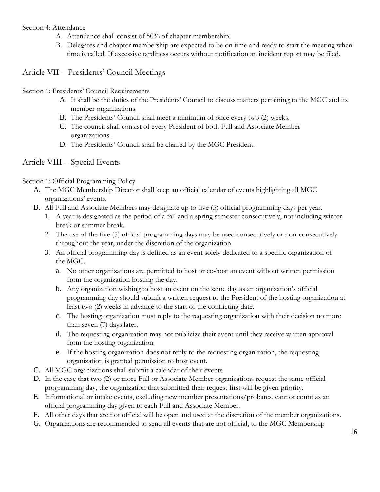Section 4: Attendance

- A. Attendance shall consist of 50% of chapter membership.
- B. Delegates and chapter membership are expected to be on time and ready to start the meeting when time is called. If excessive tardiness occurs without notification an incident report may be filed.

Article VII – Presidents' Council Meetings

Section 1: Presidents' Council Requirements

- A. It shall be the duties of the Presidents' Council to discuss matters pertaining to the MGC and its member organizations.
- B. The Presidents' Council shall meet a minimum of once every two (2) weeks.
- C. The council shall consist of every President of both Full and Associate Member organizations.
- D. The Presidents' Council shall be chaired by the MGC President.

# Article VIII – Special Events

Section 1: Official Programming Policy

- A. The MGC Membership Director shall keep an official calendar of events highlighting all MGC organizations' events.
- B. All Full and Associate Members may designate up to five (5) official programming days per year.
	- 1. A year is designated as the period of a fall and a spring semester consecutively, not including winter break or summer break.
	- 2. The use of the five (5) official programming days may be used consecutively or non-consecutively throughout the year, under the discretion of the organization.
	- 3. An official programming day is defined as an event solely dedicated to a specific organization of the MGC.
		- a. No other organizations are permitted to host or co-host an event without written permission from the organization hosting the day.
		- b. Any organization wishing to host an event on the same day as an organization's official programming day should submit a written request to the President of the hosting organization at least two (2) weeks in advance to the start of the conflicting date.
		- c. The hosting organization must reply to the requesting organization with their decision no more than seven (7) days later.
		- d. The requesting organization may not publicize their event until they receive written approval from the hosting organization.
		- e. If the hosting organization does not reply to the requesting organization, the requesting organization is granted permission to host event.
- C. All MGC organizations shall submit a calendar of their events
- D. In the case that two (2) or more Full or Associate Member organizations request the same official programming day, the organization that submitted their request first will be given priority.
- E. Informational or intake events, excluding new member presentations/probates, cannot count as an official programming day given to each Full and Associate Member.
- F. All other days that are not official will be open and used at the discretion of the member organizations.
- G. Organizations are recommended to send all events that are not official, to the MGC Membership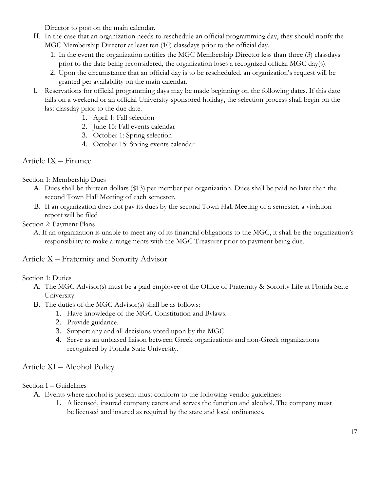Director to post on the main calendar.

- H. In the case that an organization needs to reschedule an official programming day, they should notify the MGC Membership Director at least ten (10) classdays prior to the official day.
	- 1. In the event the organization notifies the MGC Membership Director less than three (3) classdays prior to the date being reconsidered, the organization loses a recognized official MGC day(s).
	- 2. Upon the circumstance that an official day is to be rescheduled, an organization's request will be granted per availability on the main calendar.
- I. Reservations for official programming days may be made beginning on the following dates. If this date falls on a weekend or an official University-sponsored holiday, the selection process shall begin on the last classday prior to the due date.
	- 1. April 1: Fall selection
	- 2. June 15: Fall events calendar
	- 3. October 1: Spring selection
	- 4. October 15: Spring events calendar

# Article IX – Finance

Section 1: Membership Dues

- A. Dues shall be thirteen dollars (\$13) per member per organization. Dues shall be paid no later than the second Town Hall Meeting of each semester.
- B. If an organization does not pay its dues by the second Town Hall Meeting of a semester, a violation report will be filed

Section 2: Payment Plans

A. If an organization is unable to meet any of its financial obligations to the MGC, it shall be the organization's responsibility to make arrangements with the MGC Treasurer prior to payment being due.

# Article X – Fraternity and Sorority Advisor

Section 1: Duties

- A. The MGC Advisor(s) must be a paid employee of the Office of Fraternity & Sorority Life at Florida State University.
- B. The duties of the MGC Advisor(s) shall be as follows:
	- 1. Have knowledge of the MGC Constitution and Bylaws.
	- 2. Provide guidance.
	- 3. Support any and all decisions voted upon by the MGC.
	- 4. Serve as an unbiased liaison between Greek organizations and non-Greek organizations recognized by Florida State University.

# Article XI – Alcohol Policy

Section I – Guidelines

- A. Events where alcohol is present must conform to the following vendor guidelines:
	- 1. A licensed, insured company caters and serves the function and alcohol. The company must be licensed and insured as required by the state and local ordinances.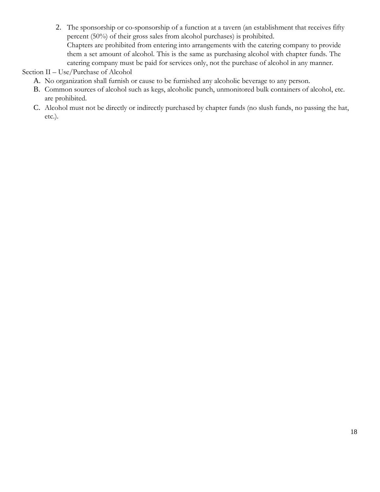2. The sponsorship or co-sponsorship of a function at a tavern (an establishment that receives fifty percent (50%) of their gross sales from alcohol purchases) is prohibited. Chapters are prohibited from entering into arrangements with the catering company to provide them a set amount of alcohol. This is the same as purchasing alcohol with chapter funds. The catering company must be paid for services only, not the purchase of alcohol in any manner.

Section II – Use/Purchase of Alcohol

- A. No organization shall furnish or cause to be furnished any alcoholic beverage to any person.
- B. Common sources of alcohol such as kegs, alcoholic punch, unmonitored bulk containers of alcohol, etc. are prohibited.
- C. Alcohol must not be directly or indirectly purchased by chapter funds (no slush funds, no passing the hat, etc.).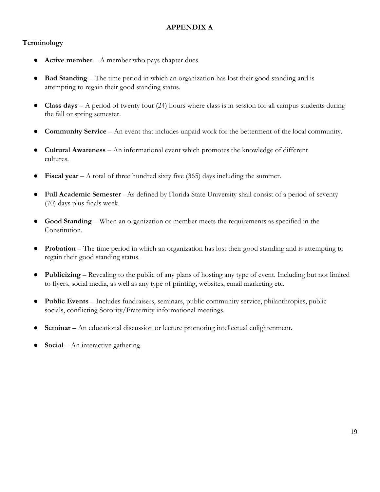## **APPENDIX A**

## **Terminology**

- **Active member A member who pays chapter dues.**
- **Bad Standing** The time period in which an organization has lost their good standing and is attempting to regain their good standing status.
- **Class days** A period of twenty four (24) hours where class is in session for all campus students during the fall or spring semester.
- **Community Service** An event that includes unpaid work for the betterment of the local community.
- **Cultural Awareness**  An informational event which promotes the knowledge of different cultures.
- **Fiscal year**  $A$  total of three hundred sixty five (365) days including the summer.
- **Full Academic Semester**  As defined by Florida State University shall consist of a period of seventy (70) days plus finals week.
- **Good Standing**  When an organization or member meets the requirements as specified in the Constitution.
- **Probation** The time period in which an organization has lost their good standing and is attempting to regain their good standing status.
- **Publicizing**  Revealing to the public of any plans of hosting any type of event. Including but not limited to flyers, social media, as well as any type of printing, websites, email marketing etc.
- **Public Events**  Includes fundraisers, seminars, public community service, philanthropies, public socials, conflicting Sorority/Fraternity informational meetings.
- **Seminar** An educational discussion or lecture promoting intellectual enlightenment.
- **Social** An interactive gathering.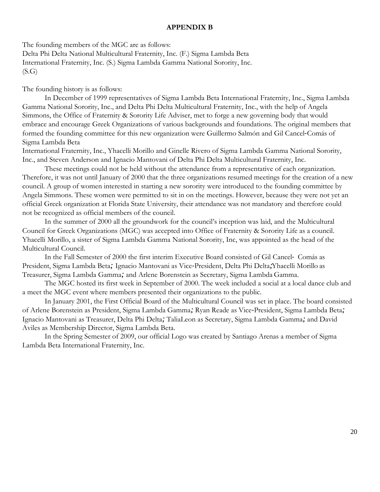#### **APPENDIX B**

The founding members of the MGC are as follows:

Delta Phi Delta National Multicultural Fraternity, Inc. (F.) Sigma Lambda Beta International Fraternity, Inc. (S.) Sigma Lambda Gamma National Sorority, Inc.  $(S.G)$ 

The founding history is as follows:

In December of 1999 representatives of Sigma Lambda Beta International Fraternity, Inc., Sigma Lambda Gamma National Sorority, Inc., and Delta Phi Delta Multicultural Fraternity, Inc., with the help of Angela Simmons, the Office of Fraternity & Sorority Life Adviser, met to forge a new governing body that would embrace and encourage Greek Organizations of various backgrounds and foundations. The original members that formed the founding committee for this new organization were Guillermo Salmón and Gil Cancel-Comás of Sigma Lambda Beta

International Fraternity, Inc., Yhacelli Morillo and Ginelle Rivero of Sigma Lambda Gamma National Sorority, Inc., and Steven Anderson and Ignacio Mantovani of Delta Phi Delta Multicultural Fraternity, Inc.

These meetings could not be held without the attendance from a representative of each organization. Therefore, it was not until January of 2000 that the three organizations resumed meetings for the creation of a new council. A group of women interested in starting a new sorority were introduced to the founding committee by Angela Simmons. These women were permitted to sit in on the meetings. However, because they were not yet an official Greek organization at Florida State University, their attendance was not mandatory and therefore could not be recognized as official members of the council.

In the summer of 2000 all the groundwork for the council's inception was laid, and the Multicultural Council for Greek Organizations (MGC) was accepted into Office of Fraternity & Sorority Life as a council. Yhacelli Morillo, a sister of Sigma Lambda Gamma National Sorority, Inc, was appointed as the head of the Multicultural Council.

In the Fall Semester of 2000 the first interim Executive Board consisted of Gil Cancel- Comás as President, Sigma Lambda Beta*;* Ignacio Mantovani as Vice-President, Delta Phi Delta*;*Yhacelli Morillo as Treasurer, Sigma Lambda Gamma*;* and Arlene Borenstein as Secretary, Sigma Lambda Gamma.

The MGC hosted its first week in September of 2000. The week included a social at a local dance club and a meet the MGC event where members presented their organizations to the public.

In January 2001, the First Official Board of the Multicultural Council was set in place. The board consisted of Arlene Borenstein as President, Sigma Lambda Gamma*;* Ryan Reade as Vice-President, Sigma Lambda Beta*;*  Ignacio Mantovani as Treasurer, Delta Phi Delta*;* TaliaLeon as Secretary, Sigma Lambda Gamma*;* and David Aviles as Membership Director, Sigma Lambda Beta.

In the Spring Semester of 2009, our official Logo was created by Santiago Arenas a member of Sigma Lambda Beta International Fraternity, Inc.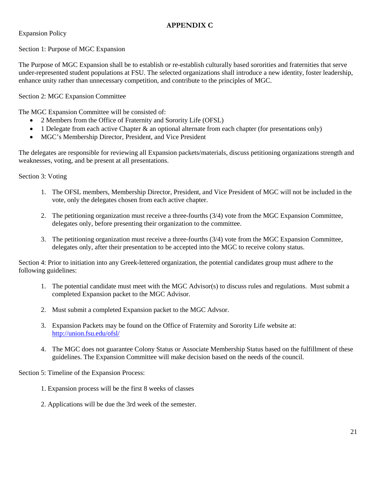### **APPENDIX C**

Expansion Policy

Section 1: Purpose of MGC Expansion

The Purpose of MGC Expansion shall be to establish or re-establish culturally based sororities and fraternities that serve under-represented student populations at FSU. The selected organizations shall introduce a new identity, foster leadership, enhance unity rather than unnecessary competition, and contribute to the principles of MGC.

Section 2: MGC Expansion Committee

The MGC Expansion Committee will be consisted of:

- 2 Members from the Office of Fraternity and Sorority Life (OFSL)
- 1 Delegate from each active Chapter & an optional alternate from each chapter (for presentations only)
- MGC's Membership Director, President, and Vice President

The delegates are responsible for reviewing all Expansion packets/materials, discuss petitioning organizations strength and weaknesses, voting, and be present at all presentations.

Section 3: Voting

- 1. The OFSL members, Membership Director, President, and Vice President of MGC will not be included in the vote, only the delegates chosen from each active chapter.
- 2. The petitioning organization must receive a three-fourths (3/4) vote from the MGC Expansion Committee, delegates only, before presenting their organization to the committee.
- 3. The petitioning organization must receive a three-fourths (3/4) vote from the MGC Expansion Committee, delegates only, after their presentation to be accepted into the MGC to receive colony status.

Section 4: Prior to initiation into any Greek-lettered organization, the potential candidates group must adhere to the following guidelines:

- 1. The potential candidate must meet with the MGC Advisor(s) to discuss rules and regulations. Must submit a completed Expansion packet to the MGC Advisor.
- 2. Must submit a completed Expansion packet to the MGC Advsor.
- 3. Expansion Packets may be found on the Office of Fraternity and Sorority Life website at: <http://union.fsu.edu/ofsl/>
- 4. The MGC does not guarantee Colony Status or Associate Membership Status based on the fulfillment of these guidelines. The Expansion Committee will make decision based on the needs of the council.

Section 5: Timeline of the Expansion Process:

- 1. Expansion process will be the first 8 weeks of classes
- 2. Applications will be due the 3rd week of the semester.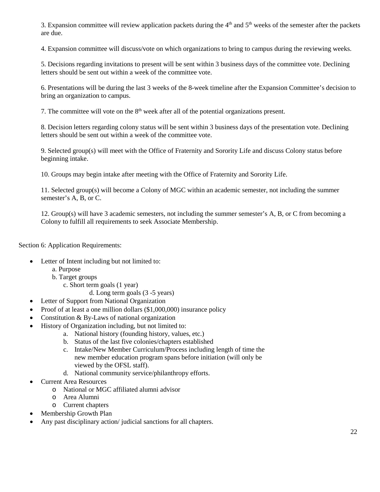3. Expansion committee will review application packets during the  $4<sup>th</sup>$  and  $5<sup>th</sup>$  weeks of the semester after the packets are due.

4. Expansion committee will discuss/vote on which organizations to bring to campus during the reviewing weeks.

5. Decisions regarding invitations to present will be sent within 3 business days of the committee vote. Declining letters should be sent out within a week of the committee vote.

6. Presentations will be during the last 3 weeks of the 8-week timeline after the Expansion Committee's decision to bring an organization to campus.

7. The committee will vote on the  $8<sup>th</sup>$  week after all of the potential organizations present.

8. Decision letters regarding colony status will be sent within 3 business days of the presentation vote. Declining letters should be sent out within a week of the committee vote.

9. Selected group(s) will meet with the Office of Fraternity and Sorority Life and discuss Colony status before beginning intake.

10. Groups may begin intake after meeting with the Office of Fraternity and Sorority Life.

11. Selected group(s) will become a Colony of MGC within an academic semester, not including the summer semester's A, B, or C.

12. Group(s) will have 3 academic semesters, not including the summer semester's A, B, or C from becoming a Colony to fulfill all requirements to seek Associate Membership.

Section 6: Application Requirements:

- Letter of Intent including but not limited to:
	- a. Purpose
	- b. Target groups
		- c. Short term goals (1 year)
			- d. Long term goals (3 -5 years)
- Letter of Support from National Organization
- Proof of at least a one million dollars (\$1,000,000) insurance policy
- Constitution  $& By-Laws$  of national organization
- History of Organization including, but not limited to:
	- a. National history (founding history, values, etc.)
	- b. Status of the last five colonies/chapters established
	- c. Intake/New Member Curriculum/Process including length of time the new member education program spans before initiation (will only be viewed by the OFSL staff).
	- d. National community service/philanthropy efforts.
- Current Area Resources
	- o National or MGC affiliated alumni advisor
	- o Area Alumni
	- o Current chapters
- Membership Growth Plan
- Any past disciplinary action/ judicial sanctions for all chapters.